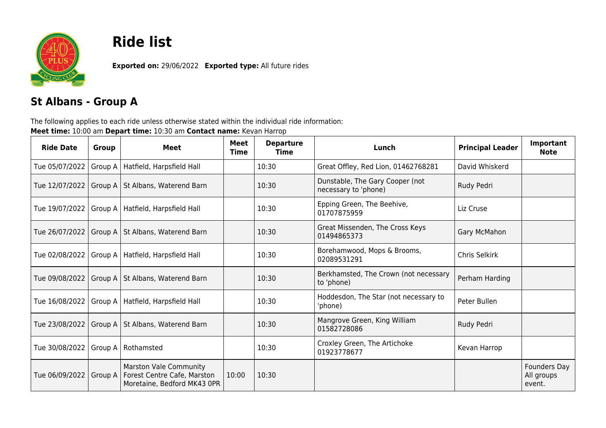

## **Ride list**

**Exported on:** 29/06/2022 **Exported type:** All future rides

## **St Albans - Group A**

The following applies to each ride unless otherwise stated within the individual ride information: **Meet time:** 10:00 am **Depart time:** 10:30 am **Contact name:** Kevan Harrop

| <b>Ride Date</b>         | <b>Group</b> | <b>Meet</b>                                                                                 | <b>Meet</b><br>Time | <b>Departure</b><br>Time | Lunch                                                   | <b>Principal Leader</b> | Important<br><b>Note</b>             |
|--------------------------|--------------|---------------------------------------------------------------------------------------------|---------------------|--------------------------|---------------------------------------------------------|-------------------------|--------------------------------------|
| Tue 05/07/2022           | Group A      | Hatfield, Harpsfield Hall                                                                   |                     | 10:30                    | Great Offley, Red Lion, 01462768281                     | David Whiskerd          |                                      |
|                          |              | Tue 12/07/2022   Group A   St Albans, Waterend Barn                                         |                     | 10:30                    | Dunstable, The Gary Cooper (not<br>necessary to 'phone) | Rudy Pedri              |                                      |
|                          |              | Tue 19/07/2022   Group A   Hatfield, Harpsfield Hall                                        |                     | 10:30                    | Epping Green, The Beehive,<br>01707875959               | Liz Cruse               |                                      |
|                          |              | Tue 26/07/2022   Group A   St Albans, Waterend Barn                                         |                     | 10:30                    | Great Missenden, The Cross Keys<br>01494865373          | Gary McMahon            |                                      |
|                          |              | Tue 02/08/2022   Group A   Hatfield, Harpsfield Hall                                        |                     | 10:30                    | Borehamwood, Mops & Brooms,<br>02089531291              | Chris Selkirk           |                                      |
|                          |              | Tue 09/08/2022   Group A   St Albans, Waterend Barn                                         |                     | 10:30                    | Berkhamsted, The Crown (not necessary<br>to 'phone)     | Perham Harding          |                                      |
|                          |              | Tue 16/08/2022   Group A   Hatfield, Harpsfield Hall                                        |                     | 10:30                    | Hoddesdon, The Star (not necessary to<br>'phone)        | Peter Bullen            |                                      |
|                          |              | Tue 23/08/2022   Group A   St Albans, Waterend Barn                                         |                     | 10:30                    | Mangrove Green, King William<br>01582728086             | Rudy Pedri              |                                      |
| Tue 30/08/2022   Group A |              | Rothamsted                                                                                  |                     | 10:30                    | Croxley Green, The Artichoke<br>01923778677             | Kevan Harrop            |                                      |
| Tue 06/09/2022           | Group A      | <b>Marston Vale Community</b><br>Forest Centre Cafe, Marston<br>Moretaine, Bedford MK43 0PR | 10:00               | 10:30                    |                                                         |                         | Founders Day<br>All groups<br>event. |